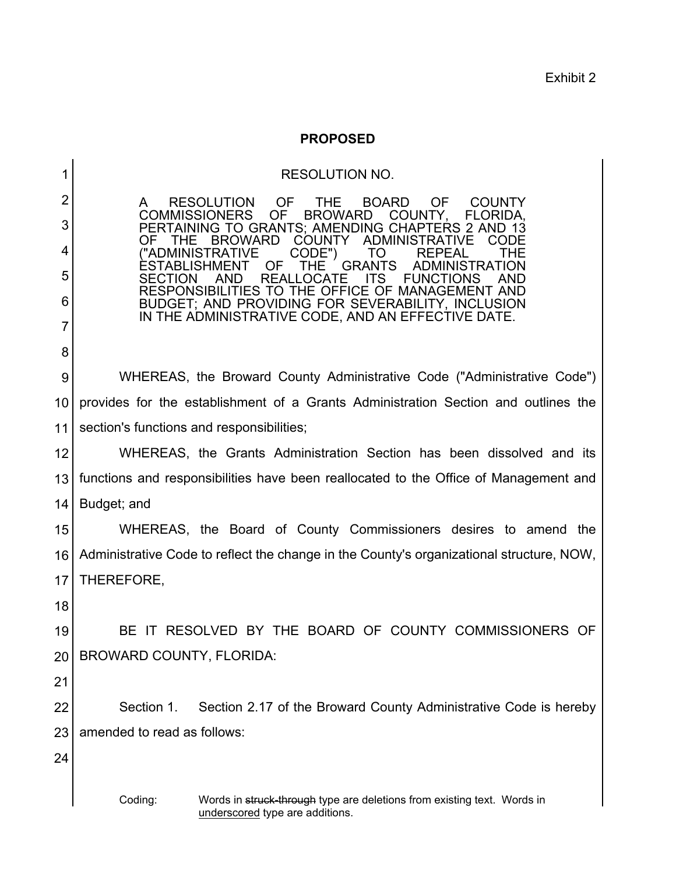Exhibit 2

## **PROPOSED**

| 1  | <b>RESOLUTION NO.</b>                                                                                                              |
|----|------------------------------------------------------------------------------------------------------------------------------------|
| 2  | <b>RESOLUTION</b><br><b>OF</b><br><b>BOARD</b><br><b>OF</b><br><b>THE</b><br><b>COUNTY</b><br>A                                    |
| 3  | <b>COMMISSIONERS</b><br>OF<br><b>BROWARD</b><br>COUNTY,<br>FLORIDA,<br>PERTAINING TO GRANTS; AMENDING CHAPTERS 2 AND 13            |
| 4  | <b>COUNTY</b><br><b>ADMINISTRATIVE</b><br><b>BROWARD</b><br>OF<br>THE<br>CODE<br>("ADMINISTRATIVE<br><b>REPEAL</b><br>CODE")<br>TO |
| 5  | <b>GRANTS</b><br>OF<br>THE<br>ADMINISTRATION<br>RFAI<br>CATE<br>SECTION<br>11S                                                     |
| 6  | RESPONSIBILITIES TO THE OFFICE OF MANAGEMENT AND<br>BUDGET; AND PROVIDING FOR SEVERABILITY, INCLUSION                              |
| 7  | IN THE ADMINISTRATIVE CODE, AND AN EFFECTIVE DATE.                                                                                 |
| 8  |                                                                                                                                    |
| 9  | WHEREAS, the Broward County Administrative Code ("Administrative Code")                                                            |
| 10 | provides for the establishment of a Grants Administration Section and outlines the                                                 |
| 11 | section's functions and responsibilities;                                                                                          |
| 12 | WHEREAS, the Grants Administration Section has been dissolved and its                                                              |
| 13 | functions and responsibilities have been reallocated to the Office of Management and                                               |
| 14 | Budget; and                                                                                                                        |
| 15 | WHEREAS, the Board of County Commissioners desires to amend the                                                                    |
| 16 | Administrative Code to reflect the change in the County's organizational structure, NOW,                                           |
| 17 | THEREFORE,                                                                                                                         |
| 18 |                                                                                                                                    |
| 19 | BE IT RESOLVED BY THE BOARD OF COUNTY COMMISSIONERS OF                                                                             |
| 20 | <b>BROWARD COUNTY, FLORIDA:</b>                                                                                                    |
| 21 |                                                                                                                                    |
| 22 | Section 1.<br>Section 2.17 of the Broward County Administrative Code is hereby                                                     |
| 23 | amended to read as follows:                                                                                                        |
| 24 |                                                                                                                                    |
|    | Coding:<br>Words in struck-through type are deletions from existing text. Words in<br>underscored type are additions.              |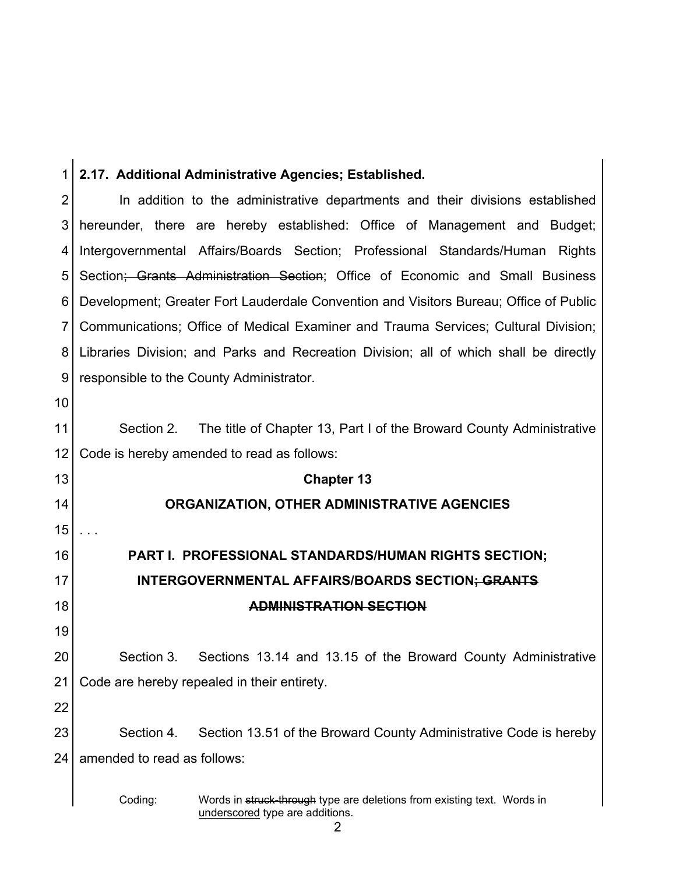| 1  | 2.17. Additional Administrative Agencies; Established.                                  |
|----|-----------------------------------------------------------------------------------------|
| 2  | In addition to the administrative departments and their divisions established           |
| 3  | hereunder, there are hereby established: Office of Management and Budget;               |
| 4  | Intergovernmental Affairs/Boards Section; Professional Standards/Human<br><b>Rights</b> |
| 5  | Section; Grants Administration Section; Office of Economic and Small Business           |
| 6  | Development; Greater Fort Lauderdale Convention and Visitors Bureau; Office of Public   |
| 7  | Communications; Office of Medical Examiner and Trauma Services; Cultural Division;      |
| 8  | Libraries Division; and Parks and Recreation Division; all of which shall be directly   |
| 9  | responsible to the County Administrator.                                                |
| 10 |                                                                                         |
| 11 | The title of Chapter 13, Part I of the Broward County Administrative<br>Section 2.      |
| 12 | Code is hereby amended to read as follows:                                              |
| 13 | <b>Chapter 13</b>                                                                       |
| 14 | ORGANIZATION, OTHER ADMINISTRATIVE AGENCIES                                             |
| 15 |                                                                                         |
| 16 | PART I. PROFESSIONAL STANDARDS/HUMAN RIGHTS SECTION;                                    |
| 17 | INTERGOVERNMENTAL AFFAIRS/BOARDS SECTION; GRANTS                                        |
| 18 | <b>ADMINISTRATION SECTION</b>                                                           |
| 19 |                                                                                         |
| 20 | Sections 13.14 and 13.15 of the Broward County Administrative<br>Section 3.             |
| 21 | Code are hereby repealed in their entirety.                                             |
| 22 |                                                                                         |
| 23 | Section 4.<br>Section 13.51 of the Broward County Administrative Code is hereby         |
| 24 | amended to read as follows:                                                             |
|    |                                                                                         |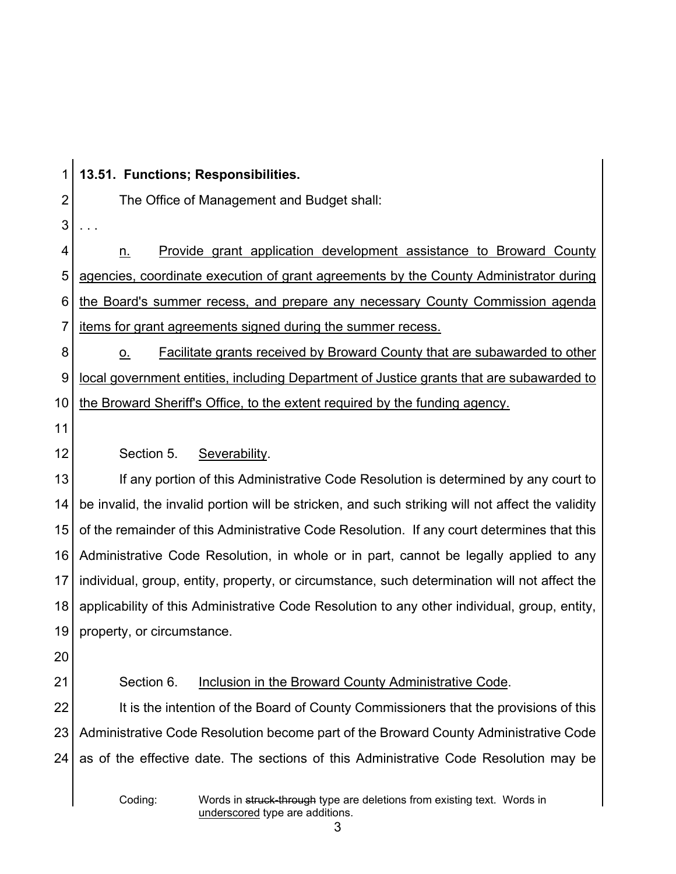1 2 3 4 5 6 7 8 9 10 11 12 13 14 15 16 17 18 19 20 21 22 23 24 Coding: Words in struck-through type are deletions from existing text. Words in underscored type are additions. **13.51. Functions; Responsibilities.** The Office of Management and Budget shall: . . . n. Provide grant application development assistance to Broward County agencies, coordinate execution of grant agreements by the County Administrator during the Board's summer recess, and prepare any necessary County Commission agenda items for grant agreements signed during the summer recess. o. Facilitate grants received by Broward County that are subawarded to other local government entities, including Department of Justice grants that are subawarded to the Broward Sheriff's Office, to the extent required by the funding agency. Section 5. Severability. If any portion of this Administrative Code Resolution is determined by any court to be invalid, the invalid portion will be stricken, and such striking will not affect the validity of the remainder of this Administrative Code Resolution. If any court determines that this Administrative Code Resolution, in whole or in part, cannot be legally applied to any individual, group, entity, property, or circumstance, such determination will not affect the applicability of this Administrative Code Resolution to any other individual, group, entity, property, or circumstance. Section 6. Inclusion in the Broward County Administrative Code. It is the intention of the Board of County Commissioners that the provisions of this Administrative Code Resolution become part of the Broward County Administrative Code as of the effective date. The sections of this Administrative Code Resolution may be